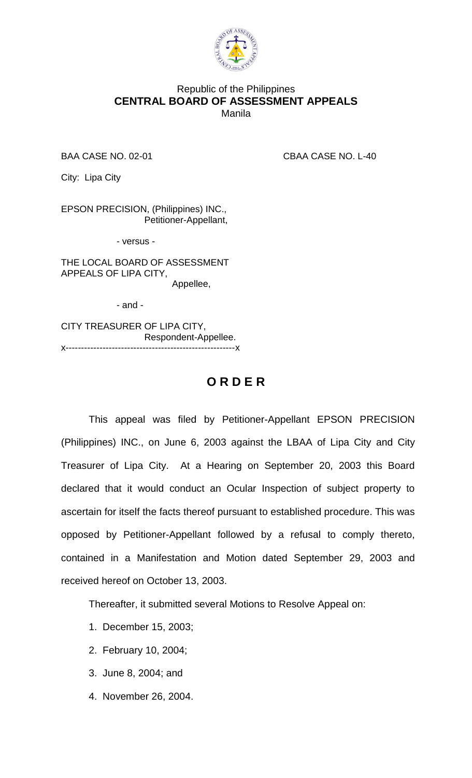

## Republic of the Philippines **CENTRAL BOARD OF ASSESSMENT APPEALS** Manila

BAA CASE NO. 02-01 CBAA CASE NO. L-40

City: Lipa City

EPSON PRECISION, (Philippines) INC., Petitioner-Appellant,

- versus -

THE LOCAL BOARD OF ASSESSMENT APPEALS OF LIPA CITY, Appellee,

- and -

CITY TREASURER OF LIPA CITY, Respondent-Appellee. x-------------------------------------------------------x

## **O R D E R**

This appeal was filed by Petitioner-Appellant EPSON PRECISION (Philippines) INC., on June 6, 2003 against the LBAA of Lipa City and City Treasurer of Lipa City. At a Hearing on September 20, 2003 this Board declared that it would conduct an Ocular Inspection of subject property to ascertain for itself the facts thereof pursuant to established procedure. This was opposed by Petitioner-Appellant followed by a refusal to comply thereto, contained in a Manifestation and Motion dated September 29, 2003 and received hereof on October 13, 2003.

Thereafter, it submitted several Motions to Resolve Appeal on:

- 1. December 15, 2003;
- 2. February 10, 2004;
- 3. June 8, 2004; and
- 4. November 26, 2004.